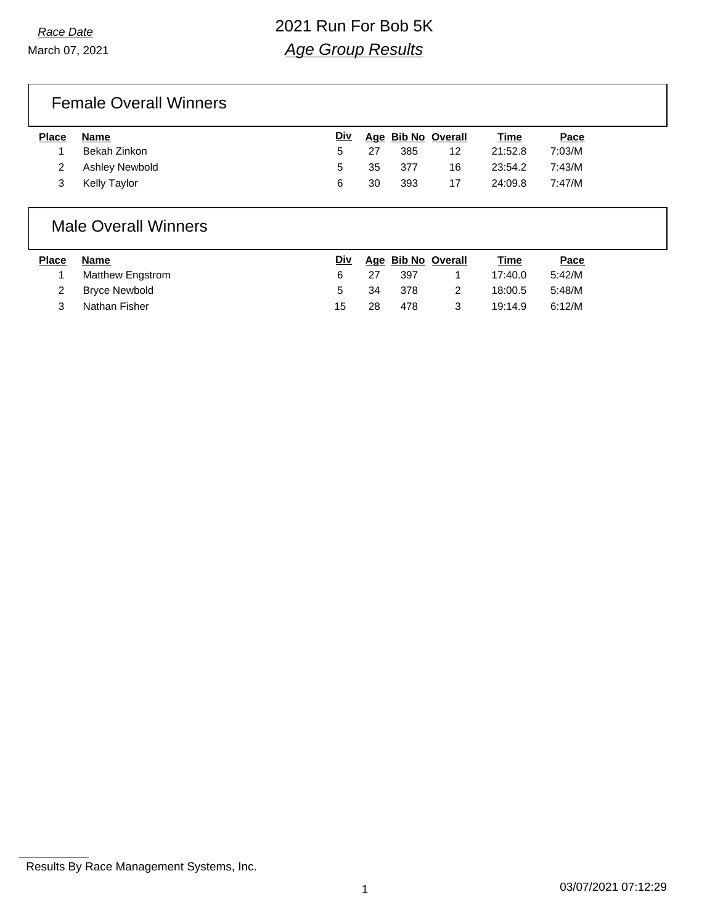### Female Overall Winners

| <b>Place</b> | Name             | <u>Div</u> |    |        | Age Bib No Overall | <u>Time</u> | Pace   |
|--------------|------------------|------------|----|--------|--------------------|-------------|--------|
|              | Bekah Zinkon     | $5 -$      | 27 | 385    | 12                 | 21:52.8     | 7:03/M |
|              | 2 Ashley Newbold | $\sim$     |    | 35 377 | 16                 | 23:54.2     | 7:43/M |
| 3            | Kelly Taylor     |            | 30 | 393    | 17                 | 24:09.8     | 7:47/M |

### Male Overall Winners

| <b>Place</b> | Name             | <u>Div</u> |    |      | Age Bib No Overall | Time    | Pace   |
|--------------|------------------|------------|----|------|--------------------|---------|--------|
|              | Matthew Engstrom |            | 27 | 397  |                    | 17:40.0 | 5:42/M |
|              | Bryce Newbold    | $\sim$     | 34 | -378 |                    | 18:00.5 | 5:48/M |
|              | Nathan Fisher    | 15         | 28 | 478  | -3                 | 19:14.9 | 6:12/M |

Results By Race Management Systems, Inc.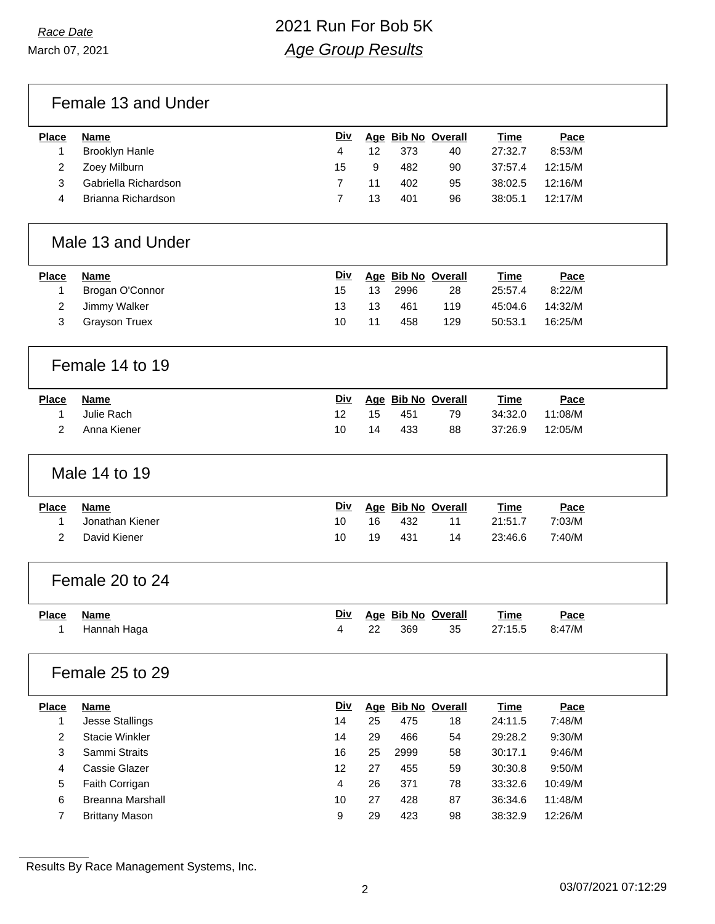## Female 13 and Under

| Place | Name                  | <u>Div</u> |    |     | Age Bib No Overall | <b>Time</b> | Pace    |
|-------|-----------------------|------------|----|-----|--------------------|-------------|---------|
|       | <b>Brooklyn Hanle</b> | 4          | 12 | 373 | 40                 | 27:32.7     | 8:53/M  |
|       | Zoey Milburn          | 15         | -9 | 482 | 90                 | 37:57.4     | 12:15/M |
|       | Gabriella Richardson  |            | 11 | 402 | 95                 | 38:02.5     | 12:16/M |
|       | Brianna Richardson    |            | 13 | 401 | 96                 | 38:05.1     | 12:17/M |
|       |                       |            |    |     |                    |             |         |

### Male 13 and Under

| Place | Name                 | Div |    |      | Age Bib No Overall | <u>Time</u> | Pace    |
|-------|----------------------|-----|----|------|--------------------|-------------|---------|
|       | Brogan O'Connor      | 15  | 13 | 2996 | 28                 | 25:57.4     | 8:22/M  |
|       | Jimmy Walker         | 13. | 13 | 461  | 119                | 45:04.6     | 14:32/M |
|       | <b>Grayson Truex</b> | 10  | 11 | 458  | 129                | 50:53.1     | 16:25/M |
|       |                      |     |    |      |                    |             |         |

#### Female 14 to 19

| <b>Place</b> | Name          |    |    | Div Age Bib No Overall |    | Time            | Pace    |
|--------------|---------------|----|----|------------------------|----|-----------------|---------|
|              | Julie Rach    |    | 15 | - 451                  | 79 | 34:32.0 11:08/M |         |
|              | 2 Anna Kiener | 10 | 14 | 433                    | 88 | 37:26.9         | 12:05/M |

#### Male 14 to 19

| <b>Place</b> | <b>Name</b>     | <u>Div</u> |     |     | Age Bib No Overall | <u>Time</u> | Pace   |
|--------------|-----------------|------------|-----|-----|--------------------|-------------|--------|
|              | Jonathan Kiener | 10         | 16. | 432 | 11                 | 21:51.7     | 7:03/M |
|              | David Kiener    | 10         | 19  | 431 | 14                 | 23:46.6     | 7:40/M |

## Female 20 to 24

| Place Name |             |       | Div Age Bib No Overall |     | Time    | <u>Pace</u> |
|------------|-------------|-------|------------------------|-----|---------|-------------|
|            | Hannah Haga | -22 - | 369                    | -35 | 27:15.5 | 8:47/M      |

### Female 25 to 29

| <b>Place</b> | <b>Name</b>            | <u>Div</u> |    |      | Age Bib No Overall | Time    | Pace    |
|--------------|------------------------|------------|----|------|--------------------|---------|---------|
|              | <b>Jesse Stallings</b> | 14         | 25 | 475  | 18                 | 24:11.5 | 7:48/M  |
| 2            | Stacie Winkler         | 14         | 29 | 466  | 54                 | 29:28.2 | 9:30/M  |
| 3            | Sammi Straits          | 16         | 25 | 2999 | 58                 | 30:17.1 | 9:46/M  |
| 4            | Cassie Glazer          | 12         | 27 | 455  | 59                 | 30:30.8 | 9:50/M  |
| 5            | Faith Corrigan         | 4          | 26 | 371  | 78                 | 33:32.6 | 10:49/M |
| 6            | Breanna Marshall       | 10         | 27 | 428  | 87                 | 36:34.6 | 11:48/M |
|              | <b>Brittany Mason</b>  | 9          | 29 | 423  | 98                 | 38:32.9 | 12:26/M |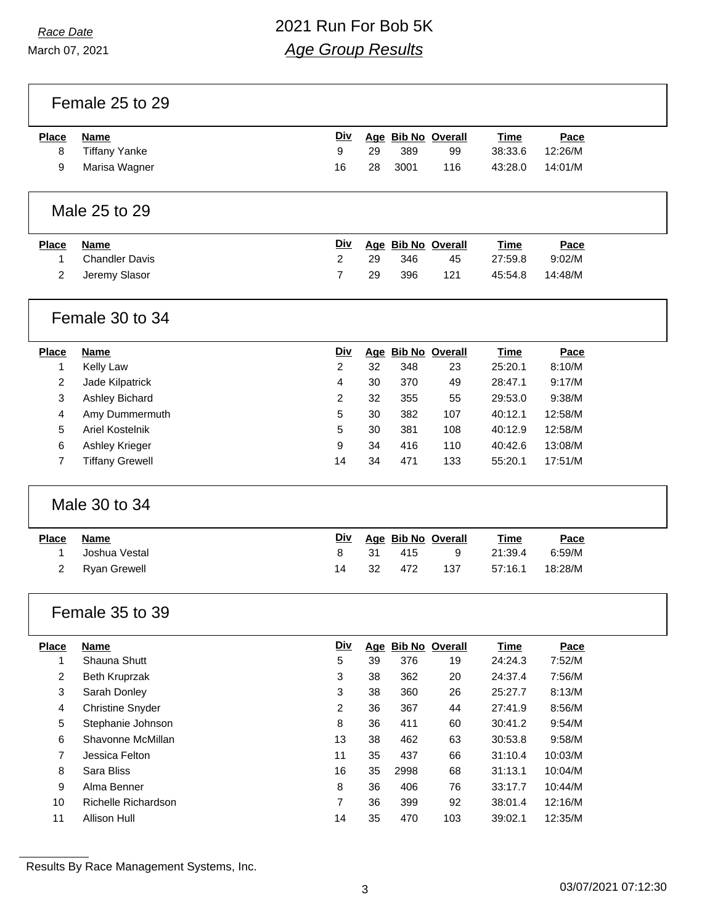March 07, 2021

# *Race Date* 2021 Run For Bob 5K *Age Group Results*

Female 25 to 29

| <b>Place</b> | Name                 | <u>Div</u> |    |      | Age Bib No Overall | Time    | Pace    |
|--------------|----------------------|------------|----|------|--------------------|---------|---------|
| 8            | <b>Tiffany Yanke</b> |            | 29 | 389  | 99                 | 38:33.6 | 12:26/M |
|              | Marisa Wagner        | 16         | 28 | 3001 | 116                | 43:28.0 | 14:01/M |

### Male 25 to 29

| <b>Place</b> | Name             | <b>Div</b> |      |      | Age Bib No Overall | <b>Time</b> | Pace    |
|--------------|------------------|------------|------|------|--------------------|-------------|---------|
|              | 1 Chandler Davis | 2          | - 29 | -346 | 45                 | 27:59.8     | 9:02/M  |
|              | 2 Jeremy Slasor  |            | -29  | 396  | 121                | 45:54.8     | 14:48/M |

### Female 30 to 34

| <b>Place</b> | <b>Name</b>            | Div |    |     | Age Bib No Overall | <b>Time</b> | Pace    |
|--------------|------------------------|-----|----|-----|--------------------|-------------|---------|
|              | <b>Kelly Law</b>       | 2   | 32 | 348 | 23                 | 25:20.1     | 8:10/M  |
| 2            | Jade Kilpatrick        | 4   | 30 | 370 | 49                 | 28:47.1     | 9:17/M  |
| 3            | <b>Ashley Bichard</b>  | 2   | 32 | 355 | 55                 | 29:53.0     | 9:38/M  |
| 4            | Amy Dummermuth         | 5   | 30 | 382 | 107                | 40:12.1     | 12:58/M |
| 5            | Ariel Kostelnik        | 5   | 30 | 381 | 108                | 40:12.9     | 12:58/M |
| 6            | <b>Ashley Krieger</b>  | 9   | 34 | 416 | 110                | 40:42.6     | 13:08/M |
|              | <b>Tiffany Grewell</b> | 14  | 34 | 471 | 133                | 55:20.1     | 17:51/M |

### Male 30 to 34

| Place | Name           |    |     |     | Div Age Bib No Overall | <b>Time</b> | Pace    |
|-------|----------------|----|-----|-----|------------------------|-------------|---------|
|       | Joshua Vestal  | 8. | -31 | 415 | - 9                    | 21:39.4     | 6:59/M  |
|       | 2 Ryan Grewell | 14 | 32  | 472 | 137                    | 57:16.1     | 18:28/M |

#### Female 35 to 39

| <b>Place</b> | <b>Name</b>             | <u>Div</u> |    | Age Bib No Overall |     | Time    | Pace    |
|--------------|-------------------------|------------|----|--------------------|-----|---------|---------|
|              | Shauna Shutt            | 5          | 39 | 376                | 19  | 24:24.3 | 7:52/M  |
| 2            | Beth Kruprzak           | 3          | 38 | 362                | 20  | 24:37.4 | 7:56/M  |
| 3            | Sarah Donley            | 3          | 38 | 360                | 26  | 25:27.7 | 8:13/M  |
| 4            | <b>Christine Snyder</b> | 2          | 36 | 367                | 44  | 27:41.9 | 8:56/M  |
| 5            | Stephanie Johnson       | 8          | 36 | 411                | 60  | 30:41.2 | 9:54/M  |
| 6            | Shavonne McMillan       | 13         | 38 | 462                | 63  | 30:53.8 | 9:58/M  |
| 7            | Jessica Felton          | 11         | 35 | 437                | 66  | 31:10.4 | 10:03/M |
| 8            | Sara Bliss              | 16         | 35 | 2998               | 68  | 31:13.1 | 10:04/M |
| 9            | Alma Benner             | 8          | 36 | 406                | 76  | 33:17.7 | 10:44/M |
| 10           | Richelle Richardson     | 7          | 36 | 399                | 92  | 38:01.4 | 12:16/M |
| 11           | Allison Hull            | 14         | 35 | 470                | 103 | 39:02.1 | 12:35/M |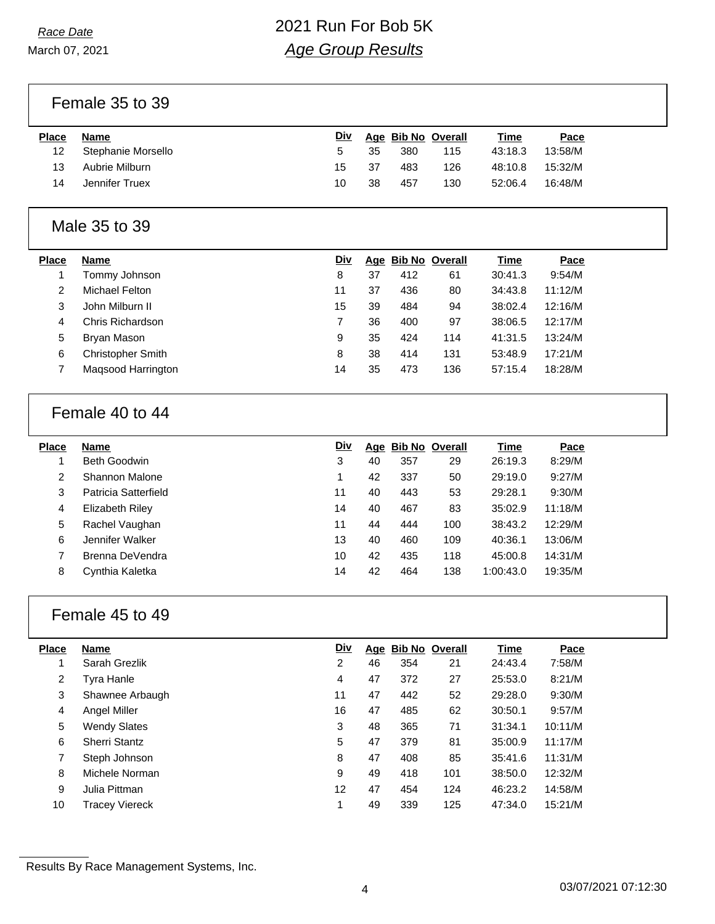March 07, 2021

Female 35 to 39

| Place | Name               | <b>Div</b> |    |     | Age Bib No Overall | <b>Time</b> | Pace    |
|-------|--------------------|------------|----|-----|--------------------|-------------|---------|
| 12    | Stephanie Morsello | h.         | 35 | 380 | 115                | 43:18.3     | 13:58/M |
| 13    | Aubrie Milburn     | 15         | 37 | 483 | 126                | 48:10.8     | 15:32/M |
| 14    | Jennifer Truex     | 10         | 38 | 457 | 130                | 52:06.4     | 16:48/M |

#### Male 35 to 39

| <b>Place</b> | <b>Name</b>              | <u>Div</u> |    | Age Bib No Overall |     | Time    | Pace    |
|--------------|--------------------------|------------|----|--------------------|-----|---------|---------|
|              | Tommy Johnson            | 8          | 37 | 412                | 61  | 30:41.3 | 9:54/M  |
| 2            | Michael Felton           | 11         | 37 | 436                | 80  | 34:43.8 | 11:12/M |
| 3            | John Milburn II          | 15         | 39 | 484                | 94  | 38:02.4 | 12:16/M |
| 4            | Chris Richardson         |            | 36 | 400                | 97  | 38:06.5 | 12:17/M |
| 5            | Bryan Mason              | 9          | 35 | 424                | 114 | 41:31.5 | 13:24/M |
| 6            | <b>Christopher Smith</b> | 8          | 38 | 414                | 131 | 53:48.9 | 17:21/M |
|              | Magsood Harrington       | 14         | 35 | 473                | 136 | 57:15.4 | 18:28/M |

## Female 40 to 44

| <b>Place</b> | <b>Name</b>          | Div |    |     | Age Bib No Overall | Time      | Pace    |
|--------------|----------------------|-----|----|-----|--------------------|-----------|---------|
| 1            | Beth Goodwin         | 3   | 40 | 357 | 29                 | 26:19.3   | 8:29/M  |
| 2            | Shannon Malone       |     | 42 | 337 | 50                 | 29:19.0   | 9:27/M  |
| 3            | Patricia Satterfield | 11  | 40 | 443 | 53                 | 29:28.1   | 9:30/M  |
| 4            | Elizabeth Riley      | 14  | 40 | 467 | 83                 | 35:02.9   | 11:18/M |
| 5            | Rachel Vaughan       | 11  | 44 | 444 | 100                | 38:43.2   | 12:29/M |
| 6            | Jennifer Walker      | 13  | 40 | 460 | 109                | 40:36.1   | 13:06/M |
| 7            | Brenna DeVendra      | 10  | 42 | 435 | 118                | 45:00.8   | 14:31/M |
| 8            | Cynthia Kaletka      | 14  | 42 | 464 | 138                | 1:00:43.0 | 19:35/M |
|              |                      |     |    |     |                    |           |         |

#### Female 45 to 49

| <b>Place</b> | <b>Name</b>          | <b>Div</b> |    |     | Age Bib No Overall | <b>Time</b> | Pace    |
|--------------|----------------------|------------|----|-----|--------------------|-------------|---------|
|              | Sarah Grezlik        | 2          | 46 | 354 | 21                 | 24:43.4     | 7:58/M  |
| 2            | Tyra Hanle           | 4          | 47 | 372 | 27                 | 25:53.0     | 8:21/M  |
| 3            | Shawnee Arbaugh      | 11         | 47 | 442 | 52                 | 29:28.0     | 9:30/M  |
| 4            | Angel Miller         | 16         | 47 | 485 | 62                 | 30:50.1     | 9:57/M  |
| 5            | <b>Wendy Slates</b>  | 3          | 48 | 365 | 71                 | 31:34.1     | 10:11/M |
| 6            | <b>Sherri Stantz</b> | 5          | 47 | 379 | 81                 | 35:00.9     | 11:17/M |
| 7            | Steph Johnson        | 8          | 47 | 408 | 85                 | 35:41.6     | 11:31/M |
| 8            | Michele Norman       | 9          | 49 | 418 | 101                | 38:50.0     | 12:32/M |
| 9            | Julia Pittman        | 12         | 47 | 454 | 124                | 46:23.2     | 14:58/M |
| 10           | Tracey Viereck       | 1          | 49 | 339 | 125                | 47:34.0     | 15:21/M |

Results By Race Management Systems, Inc.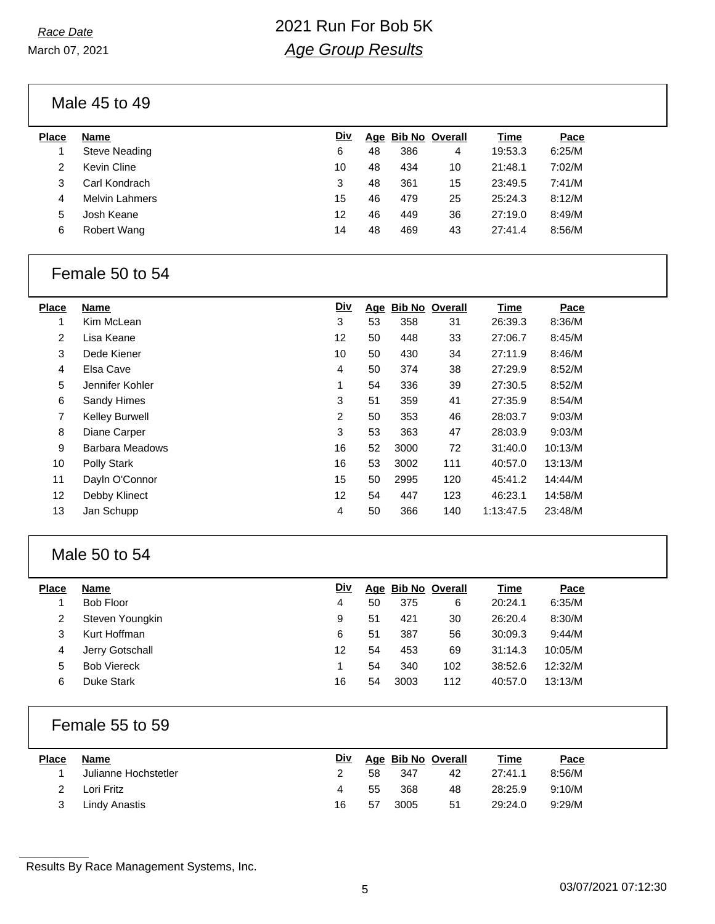March 07, 2021

Male 45 to 49

| <b>Place</b> | <b>Name</b>           | Div |    | Age Bib No Overall |    | Time    | Pace   |
|--------------|-----------------------|-----|----|--------------------|----|---------|--------|
|              | <b>Steve Neading</b>  | 6   | 48 | 386                | 4  | 19:53.3 | 6:25/M |
| 2            | Kevin Cline           | 10  | 48 | 434                | 10 | 21:48.1 | 7:02/M |
| 3            | Carl Kondrach         | 3   | 48 | 361                | 15 | 23:49.5 | 7:41/M |
| 4            | <b>Melvin Lahmers</b> | 15  | 46 | 479                | 25 | 25:24.3 | 8:12/M |
| 5            | Josh Keane            | 12  | 46 | 449                | 36 | 27:19.0 | 8:49/M |
| 6            | Robert Wang           | 14  | 48 | 469                | 43 | 27:41.4 | 8:56/M |
|              |                       |     |    |                    |    |         |        |

### Female 50 to 54

| <b>Place</b>   | Name                  | <b>Div</b>     |    |      | Age Bib No Overall | Time      | Pace    |
|----------------|-----------------------|----------------|----|------|--------------------|-----------|---------|
| 1              | Kim McLean            | 3              | 53 | 358  | 31                 | 26:39.3   | 8:36/M  |
| $\overline{2}$ | Lisa Keane            | 12             | 50 | 448  | 33                 | 27:06.7   | 8:45/M  |
| 3              | Dede Kiener           | 10             | 50 | 430  | 34                 | 27:11.9   | 8:46/M  |
| 4              | Elsa Cave             | 4              | 50 | 374  | 38                 | 27:29.9   | 8:52/M  |
| 5              | Jennifer Kohler       | 1              | 54 | 336  | 39                 | 27:30.5   | 8:52/M  |
| 6              | Sandy Himes           | 3              | 51 | 359  | 41                 | 27:35.9   | 8:54/M  |
| 7              | <b>Kelley Burwell</b> | $\overline{2}$ | 50 | 353  | 46                 | 28:03.7   | 9:03/M  |
| 8              | Diane Carper          | 3              | 53 | 363  | 47                 | 28:03.9   | 9:03/M  |
| 9              | Barbara Meadows       | 16             | 52 | 3000 | 72                 | 31:40.0   | 10:13/M |
| 10             | Polly Stark           | 16             | 53 | 3002 | 111                | 40:57.0   | 13:13/M |
| 11             | Dayln O'Connor        | 15             | 50 | 2995 | 120                | 45:41.2   | 14:44/M |
| 12             | Debby Klinect         | 12             | 54 | 447  | 123                | 46:23.1   | 14:58/M |
| 13             | Jan Schupp            | 4              | 50 | 366  | 140                | 1:13:47.5 | 23:48/M |
|                |                       |                |    |      |                    |           |         |

## Male 50 to 54

| <b>Place</b> | <b>Name</b>        | Div |    | Age Bib No Overall |     | Time    | Pace    |
|--------------|--------------------|-----|----|--------------------|-----|---------|---------|
|              | Bob Floor          | 4   | 50 | 375                | 6   | 20:24.1 | 6:35/M  |
|              | Steven Youngkin    | 9   | 51 | 421                | 30  | 26:20.4 | 8:30/M  |
| 3            | Kurt Hoffman       | 6   | 51 | 387                | 56  | 30:09.3 | 9:44/M  |
| 4            | Jerry Gotschall    | 12  | 54 | 453                | 69  | 31:14.3 | 10:05/M |
| 5            | <b>Bob Viereck</b> |     | 54 | 340                | 102 | 38:52.6 | 12:32/M |
| 6            | Duke Stark         | 16  | 54 | 3003               | 112 | 40:57.0 | 13:13/M |

## Female 55 to 59

| <b>Place</b> | Name                 | <u>Div</u> |    |      | Age Bib No Overall | <u>Time</u> | <u>Pace</u> |
|--------------|----------------------|------------|----|------|--------------------|-------------|-------------|
|              | Julianne Hochstetler |            | 58 | 347  | 42                 | 27:41.1     | 8:56/M      |
| 2            | Lori Fritz           |            | 55 | 368  | 48                 | 28:25.9     | 9:10/M      |
|              | Lindy Anastis        | 16         | 57 | 3005 | -51                | 29:24.0     | 9:29/M      |

Results By Race Management Systems, Inc.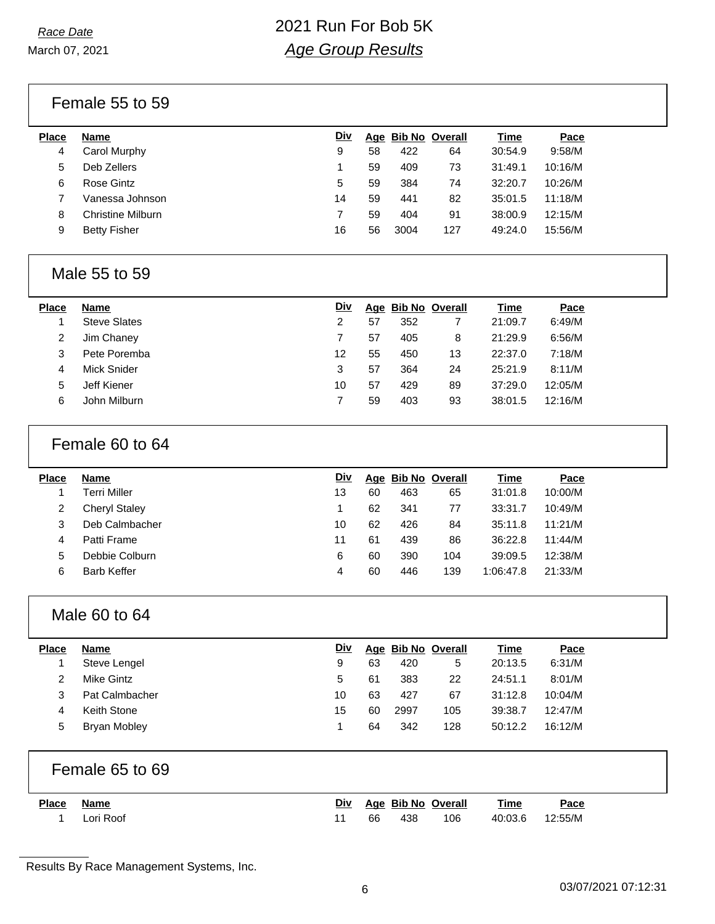March 07, 2021

Female 55 to 59

| Place | Name                     | Div |    | Age Bib No Overall |     | <b>Time</b> | Pace    |
|-------|--------------------------|-----|----|--------------------|-----|-------------|---------|
| 4     | Carol Murphy             | 9   | 58 | 422                | 64  | 30:54.9     | 9:58/M  |
| 5     | Deb Zellers              |     | 59 | 409                | 73  | 31:49.1     | 10:16/M |
| 6     | Rose Gintz               | 5   | 59 | 384                | 74  | 32:20.7     | 10:26/M |
|       | Vanessa Johnson          | 14  | 59 | 441                | 82  | 35:01.5     | 11:18/M |
| 8     | <b>Christine Milburn</b> |     | 59 | 404                | 91  | 38:00.9     | 12:15/M |
| 9     | <b>Betty Fisher</b>      | 16  | 56 | 3004               | 127 | 49:24.0     | 15:56/M |
|       |                          |     |    |                    |     |             |         |

### Male 55 to 59

| <b>Place</b> | Name                | Div |    | Age Bib No Overall |    | Time    | Pace    |
|--------------|---------------------|-----|----|--------------------|----|---------|---------|
|              | <b>Steve Slates</b> | 2   | 57 | 352                |    | 21:09.7 | 6:49/M  |
| 2            | Jim Chaney          | 7   | 57 | 405                | 8  | 21:29.9 | 6:56/M  |
| 3            | Pete Poremba        | 12  | 55 | 450                | 13 | 22:37.0 | 7:18/M  |
| 4            | Mick Snider         | 3   | 57 | 364                | 24 | 25:21.9 | 8:11/M  |
| 5            | Jeff Kiener         | 10  | 57 | 429                | 89 | 37:29.0 | 12:05/M |
| 6            | John Milburn        | 7   | 59 | 403                | 93 | 38:01.5 | 12:16/M |
|              |                     |     |    |                    |    |         |         |

### Female 60 to 64

| <b>Place</b> | <b>Name</b>          | Div |    | Age Bib No Overall |     | Time      | Pace    |
|--------------|----------------------|-----|----|--------------------|-----|-----------|---------|
|              | Terri Miller         | 13  | 60 | 463                | 65  | 31:01.8   | 10:00/M |
| 2            | <b>Cheryl Staley</b> |     | 62 | 341                | 77  | 33:31.7   | 10:49/M |
| 3            | Deb Calmbacher       | 10  | 62 | 426                | 84  | 35:11.8   | 11:21/M |
| 4            | Patti Frame          | 11  | 61 | 439                | 86  | 36:22.8   | 11:44/M |
| 5            | Debbie Colburn       | 6   | 60 | 390                | 104 | 39:09.5   | 12:38/M |
| 6            | Barb Keffer          | 4   | 60 | 446                | 139 | 1:06:47.8 | 21:33/M |
|              |                      |     |    |                    |     |           |         |

#### Male 60 to 64

| <b>Place</b> | <b>Name</b>    | Div |    |      | Age Bib No Overall | <b>Time</b> | Pace    |
|--------------|----------------|-----|----|------|--------------------|-------------|---------|
|              | Steve Lengel   | 9   | 63 | 420  | 5                  | 20:13.5     | 6:31/M  |
|              | Mike Gintz     | 5   | 61 | 383  | 22                 | 24:51.1     | 8:01/M  |
| 3            | Pat Calmbacher | 10  | 63 | 427  | 67                 | 31:12.8     | 10:04/M |
| 4            | Keith Stone    | 15  | 60 | 2997 | 105                | 39:38.7     | 12:47/M |
| 5            | Bryan Mobley   |     | 64 | 342  | 128                | 50:12.2     | 16:12/M |

#### Female 65 to 69

| <b>Place</b> | Name      | Div |    |     | Age Bib No Overall | <b>Time</b> | <u>Pace</u> |
|--------------|-----------|-----|----|-----|--------------------|-------------|-------------|
|              | Lori Roof |     | 66 | 438 | 106                | 40:03.6     | 12:55/M     |